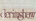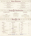# + Hors d'oeuvres

*Gulf Shrimp Cocktail*<br> *Swiss and cheddar cheeses served with mustard sauce*<br>
Swiss and cheddar cheeses served with mustard sauce *large gulf shrimp served chilled with cocktail sauce \$6.95 And gaye and chilled* with cocktail sauce **\$6.95** 

*Freskly shucked and served* on *the half-shell with cocktail sauce \$5.50* 

#### *Mozzarella Sticks Mozzarella slicks fried* **golden** *brown and sen-ed with a mild salsa \$4.25*

*and crackers* (jor 2) \$5.50 *Clams* **or** *Oysters* 

## *Chicken Fingers*

Tender chicken filets, hreaded, fried and served with tangy *sweet and sour sauce \$4.95* 

*Fried Vegetable Piotter*  An *assortment of fried cauliflower, zucchini, and mushrooms served with appropriate sauces \$5.50* 

*New England Clam Chowder*  **Served hot and creamy \$2.50** 

Cold *Deli Your choice oj* thinly *sliced roast beef, turkey: breast, ham and cheese or*  ( *' corned beeJ,* served *on Yvurchoice oJblrad \$5.50* 

+

### *Burger Master*

Soups & Sandwiches

<sup>112</sup>*pound oj Jreshlv ground beeJ, charbroiled and served with lettuce and tomato. Plain or with cheese \$5.00 Cheese and Bacon \$6,50* 

*Chefs Soup Kettle Made fresh daily \$2.00*  +

+

+

# *Colonial Club*

A triple *decker of sliced* turkey breast, *lettuce, tomato, bacon and mayonnaise*  served on your choice of bread \$5.25

+ + + +  $\text{Beer}$   $\leftrightarrow$   $\text{Al}e$ 

We are pleased to present this unique list of special beers for your enjoyment.

| <b>HOLLAND</b>               |                   | <b>UNITED STATES</b>                                     |      | <b>IRELAND</b>            |      |
|------------------------------|-------------------|----------------------------------------------------------|------|---------------------------|------|
| Grolsch, 16 oz.              | 4.50              | Miller                                                   | 2.50 | <b>Guinness</b>           | 2.95 |
| Amstel Light                 | 2.95              | Miller Lite                                              | 2.50 | Kalibur (Non-alcoholic)   | 2.95 |
| Heineken                     | 2.95              | Coors                                                    | 2.50 |                           |      |
|                              |                   | Coors Lite                                               | 2.50 | <b>MEXICO</b>             |      |
| <b>CANADA</b>                |                   | Michelob                                                 | 2.50 | Dos Equis                 | 2.95 |
| Molson Golden Ale            | 2.75              | Albany Amber (Albany)                                    | 2.95 | Corona                    | 2.95 |
| Labbats Blue                 | 2.75              | New Amsterdam (NYC)                                      | 2.95 | <b>CHINA</b>              |      |
| <b>ENGLAND</b>               |                   | Samuel Adams (Boston)                                    | 3.50 |                           |      |
|                              |                   | 130D                                                     | 250  | <b>Tsing Tao</b>          | 2.95 |
| <b>Bass Ale</b>              | 3.50              | <b>GERMANY</b>                                           |      | <b>BELGIUM</b>            |      |
| Watneys                      | 3.50              | Becks Light & Dark                                       | 2.95 |                           |      |
| Samuel Smith's Nut Brown Ale | 3.95              | St. Pauli Girl                                           | 2.95 | Duvel                     | 4.50 |
| Samuel Smith's Taddy Porter  | 3.95              | <b>Dortmuser Union</b>                                   | 2.95 | <b>ITALY</b>              |      |
| <b>SWITZERLAND</b>           |                   | Dinkelacker Light & Dark                                 | 2.95 | Merretti                  | 2.95 |
| Swiss Lowenbrau              | 3.50              | <b>CZECHOSLOVAKIA</b>                                    |      | <b>APAN</b>               |      |
| Moussy (Non-alcoholic)       | 2.95              | Pilsner Urquell                                          | 3.50 |                           |      |
|                              |                   |                                                          |      | Kirin                     | 2.95 |
|                              | <b>DRAFT BEER</b> | JOHN COURAGE - 350<br>Miller Lite 1.75<br>Budweiser 1.75 |      | $max$ SON $EXPORT - 2.25$ |      |
|                              |                   |                                                          |      |                           |      |